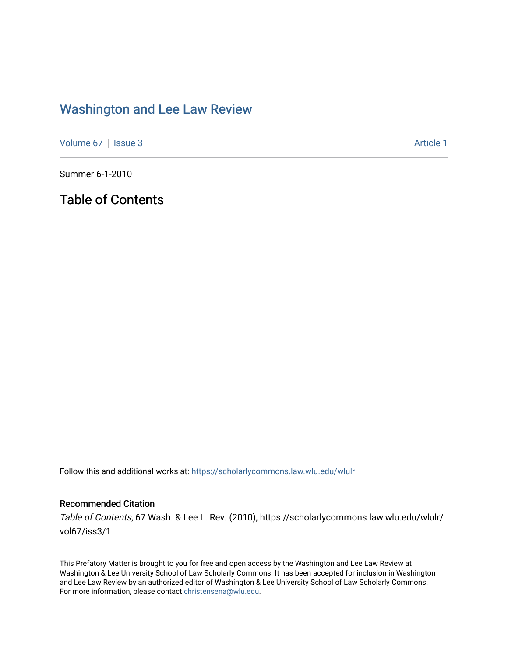## [Washington and Lee Law Review](https://scholarlycommons.law.wlu.edu/wlulr)

[Volume 67](https://scholarlycommons.law.wlu.edu/wlulr/vol67) | [Issue 3](https://scholarlycommons.law.wlu.edu/wlulr/vol67/iss3) Article 1

Summer 6-1-2010

Table of Contents

Follow this and additional works at: [https://scholarlycommons.law.wlu.edu/wlulr](https://scholarlycommons.law.wlu.edu/wlulr?utm_source=scholarlycommons.law.wlu.edu%2Fwlulr%2Fvol67%2Fiss3%2F1&utm_medium=PDF&utm_campaign=PDFCoverPages) 

## Recommended Citation

Table of Contents, 67 Wash. & Lee L. Rev. (2010), https://scholarlycommons.law.wlu.edu/wlulr/ vol67/iss3/1

This Prefatory Matter is brought to you for free and open access by the Washington and Lee Law Review at Washington & Lee University School of Law Scholarly Commons. It has been accepted for inclusion in Washington and Lee Law Review by an authorized editor of Washington & Lee University School of Law Scholarly Commons. For more information, please contact [christensena@wlu.edu](mailto:christensena@wlu.edu).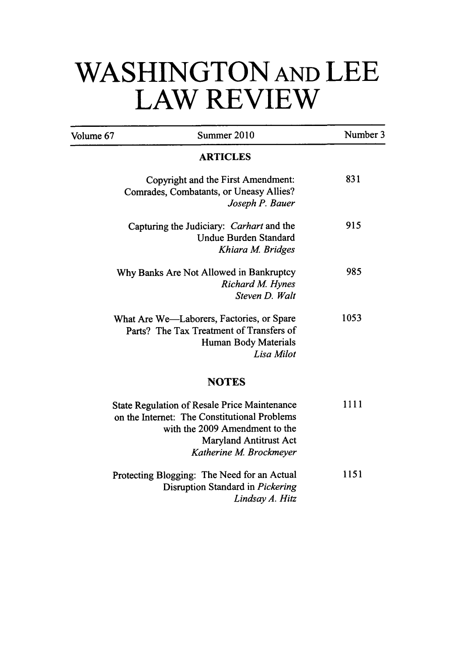## **WASHINGTON AND LEE LAW REVIEW**

| Volume 67 | Summer 2010                                                                                                                                                                                       | Number 3 |
|-----------|---------------------------------------------------------------------------------------------------------------------------------------------------------------------------------------------------|----------|
|           | <b>ARTICLES</b>                                                                                                                                                                                   |          |
|           | Copyright and the First Amendment:<br>Comrades, Combatants, or Uneasy Allies?<br>Joseph P. Bauer                                                                                                  | 831      |
|           | Capturing the Judiciary: Carhart and the<br><b>Undue Burden Standard</b><br>Khiara M. Bridges                                                                                                     | 915      |
|           | Why Banks Are Not Allowed in Bankruptcy<br>Richard M. Hynes<br>Steven D. Walt                                                                                                                     | 985      |
|           | What Are We—Laborers, Factories, or Spare<br>Parts? The Tax Treatment of Transfers of<br>Human Body Materials<br>Lisa Milot                                                                       | 1053     |
|           | <b>NOTES</b>                                                                                                                                                                                      |          |
|           | <b>State Regulation of Resale Price Maintenance</b><br>on the Internet: The Constitutional Problems<br>with the 2009 Amendment to the<br><b>Maryland Antitrust Act</b><br>Katherine M. Brockmeyer | 1111     |
|           | Protecting Blogging: The Need for an Actual<br>Disruption Standard in Pickering<br>Lindsay A. Hitz                                                                                                | 1151     |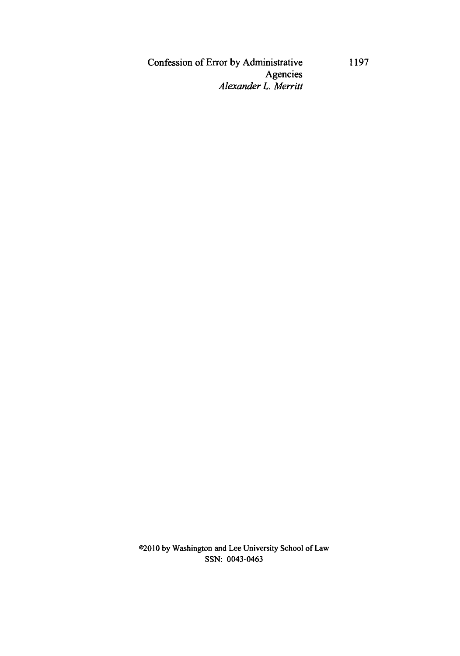Confession of Error **by** Administrative Agencies *Alexander L. Merritt*

02010 **by** Washington and Lee University School of Law **SSN:** 0043-0463

**1197**